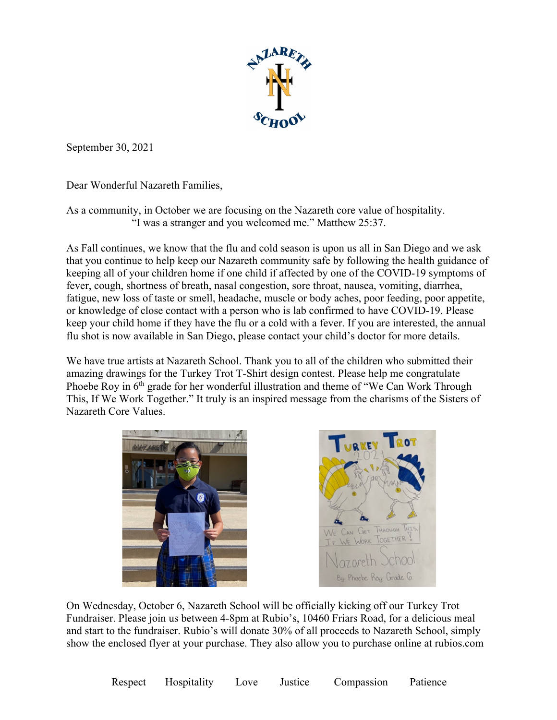

September 30, 2021

Dear Wonderful Nazareth Families,

As a community, in October we are focusing on the Nazareth core value of hospitality. "I was a stranger and you welcomed me." Matthew 25:37.

As Fall continues, we know that the flu and cold season is upon us all in San Diego and we ask that you continue to help keep our Nazareth community safe by following the health guidance of keeping all of your children home if one child if affected by one of the COVID-19 symptoms of fever, cough, shortness of breath, nasal congestion, sore throat, nausea, vomiting, diarrhea, fatigue, new loss of taste or smell, headache, muscle or body aches, poor feeding, poor appetite, or knowledge of close contact with a person who is lab confirmed to have COVID-19. Please keep your child home if they have the flu or a cold with a fever. If you are interested, the annual flu shot is now available in San Diego, please contact your child's doctor for more details.

We have true artists at Nazareth School. Thank you to all of the children who submitted their amazing drawings for the Turkey Trot T-Shirt design contest. Please help me congratulate Phoebe Roy in  $6<sup>th</sup>$  grade for her wonderful illustration and theme of "We Can Work Through This, If We Work Together." It truly is an inspired message from the charisms of the Sisters of Nazareth Core Values.





On Wednesday, October 6, Nazareth School will be officially kicking off our Turkey Trot Fundraiser. Please join us between 4-8pm at Rubio's, 10460 Friars Road, for a delicious meal and start to the fundraiser. Rubio's will donate 30% of all proceeds to Nazareth School, simply show the enclosed flyer at your purchase. They also allow you to purchase online at rubios.com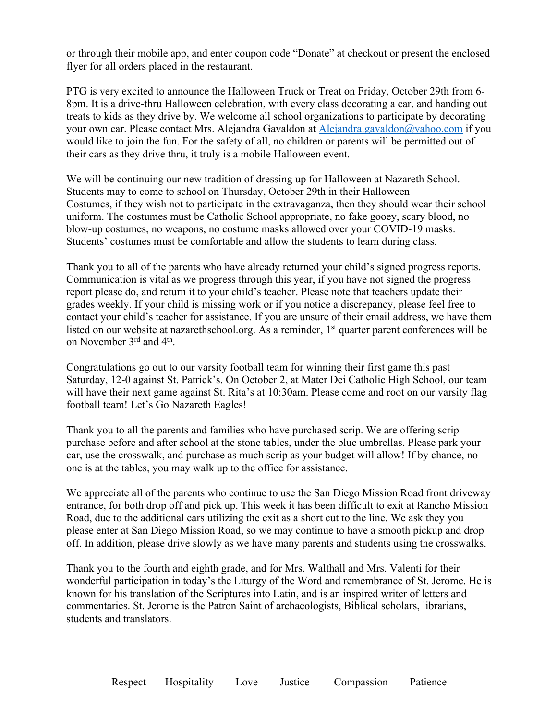or through their mobile app, and enter coupon code "Donate" at checkout or present the enclosed flyer for all orders placed in the restaurant.

PTG is very excited to announce the Halloween Truck or Treat on Friday, October 29th from 6- 8pm. It is a drive-thru Halloween celebration, with every class decorating a car, and handing out treats to kids as they drive by. We welcome all school organizations to participate by decorating your own car. Please contact Mrs. Alejandra Gavaldon at Alejandra.gavaldon@yahoo.com if you would like to join the fun. For the safety of all, no children or parents will be permitted out of their cars as they drive thru, it truly is a mobile Halloween event.

We will be continuing our new tradition of dressing up for Halloween at Nazareth School. Students may to come to school on Thursday, October 29th in their Halloween Costumes, if they wish not to participate in the extravaganza, then they should wear their school uniform. The costumes must be Catholic School appropriate, no fake gooey, scary blood, no blow-up costumes, no weapons, no costume masks allowed over your COVID-19 masks. Students' costumes must be comfortable and allow the students to learn during class.

Thank you to all of the parents who have already returned your child's signed progress reports. Communication is vital as we progress through this year, if you have not signed the progress report please do, and return it to your child's teacher. Please note that teachers update their grades weekly. If your child is missing work or if you notice a discrepancy, please feel free to contact your child's teacher for assistance. If you are unsure of their email address, we have them listed on our website at nazarethschool.org. As a reminder, 1<sup>st</sup> quarter parent conferences will be on November 3rd and 4th.

Congratulations go out to our varsity football team for winning their first game this past Saturday, 12-0 against St. Patrick's. On October 2, at Mater Dei Catholic High School, our team will have their next game against St. Rita's at 10:30am. Please come and root on our varsity flag football team! Let's Go Nazareth Eagles!

Thank you to all the parents and families who have purchased scrip. We are offering scrip purchase before and after school at the stone tables, under the blue umbrellas. Please park your car, use the crosswalk, and purchase as much scrip as your budget will allow! If by chance, no one is at the tables, you may walk up to the office for assistance.

We appreciate all of the parents who continue to use the San Diego Mission Road front driveway entrance, for both drop off and pick up. This week it has been difficult to exit at Rancho Mission Road, due to the additional cars utilizing the exit as a short cut to the line. We ask they you please enter at San Diego Mission Road, so we may continue to have a smooth pickup and drop off. In addition, please drive slowly as we have many parents and students using the crosswalks.

Thank you to the fourth and eighth grade, and for Mrs. Walthall and Mrs. Valenti for their wonderful participation in today's the Liturgy of the Word and remembrance of St. Jerome. He is known for his translation of the Scriptures into Latin, and is an inspired writer of letters and commentaries. St. Jerome is the Patron Saint of archaeologists, Biblical scholars, librarians, students and translators.